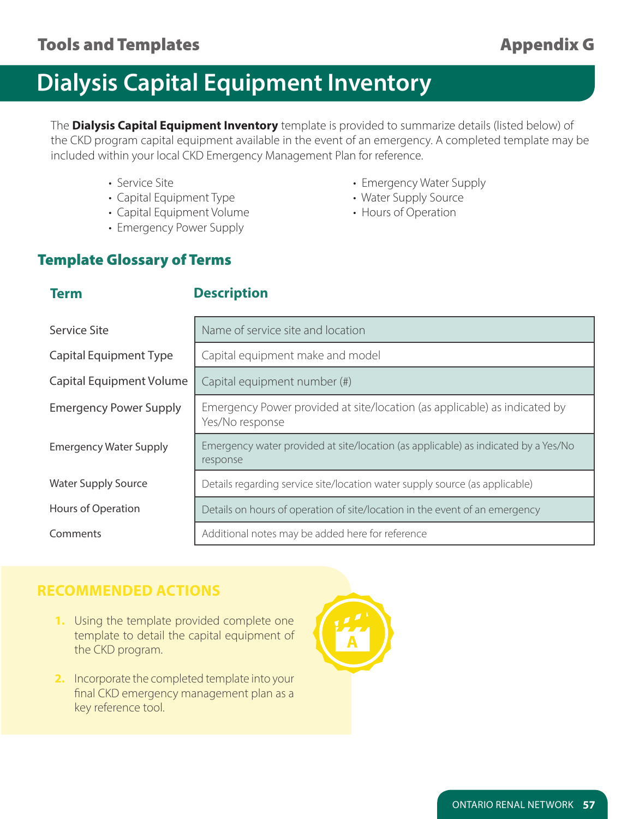# **Dialysis Capital Equipment Inventory**

The **Dialysis Capital Equipment Inventory** template is provided to summarize details (listed below) of the CKD program capital equipment available in the event of an emergency. A completed template may be included within your local CKD Emergency Management Plan for reference.

- 
- Capital Equipment Type  **Water Supply Source**
- Capital Equipment Volume **•** Hours of Operation
- Emergency Power Supply
- Service Site Christian Emergency Water Supply
	-
	-

### Template Glossary of Terms

| Service Site                    | Name of service site and location                                                              |  |  |  |
|---------------------------------|------------------------------------------------------------------------------------------------|--|--|--|
| <b>Capital Equipment Type</b>   | Capital equipment make and model                                                               |  |  |  |
| <b>Capital Equipment Volume</b> | Capital equipment number (#)                                                                   |  |  |  |
| <b>Emergency Power Supply</b>   | Emergency Power provided at site/location (as applicable) as indicated by<br>Yes/No response   |  |  |  |
| <b>Emergency Water Supply</b>   | Emergency water provided at site/location (as applicable) as indicated by a Yes/No<br>response |  |  |  |
| <b>Water Supply Source</b>      | Details regarding service site/location water supply source (as applicable)                    |  |  |  |
| Hours of Operation              | Details on hours of operation of site/location in the event of an emergency                    |  |  |  |
| Comments                        | Additional notes may be added here for reference                                               |  |  |  |

### **RECOMMENDED ACTIONS**

- **1.** Using the template provided complete one template to detail the capital equipment of the CKD program.
- **2.** Incorporate the completed template into your final CKD emergency management plan as a key reference tool.



ONTARIO RENAL NETWORK **57**

### **Term**

#### **Description**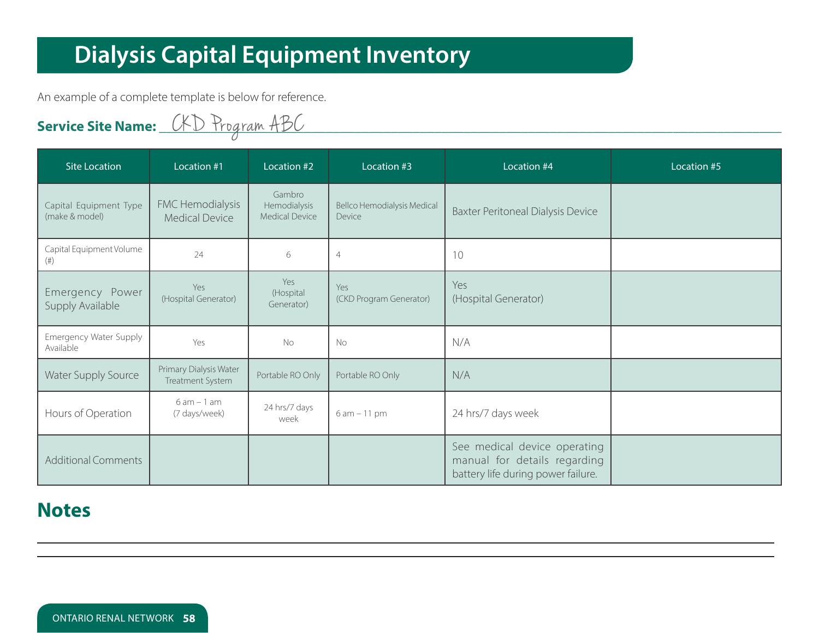# **Dialysis Capital Equipment Inventory**

An example of a complete template is below for reference.

**vicerS e Site Name: \_\_\_\_\_\_\_\_\_\_\_\_\_\_\_\_\_\_\_\_\_\_\_\_\_\_\_\_\_\_\_\_\_\_\_\_\_\_\_\_\_\_\_\_\_\_\_\_\_\_\_\_\_\_\_\_\_\_\_\_\_\_\_\_\_\_\_\_\_\_\_\_\_\_\_\_\_\_\_\_\_\_\_\_\_\_** Cogram ABCKD Pr

| <b>Site Location</b>                     | Location #1                                | Location #2                                     | Location #3                                  | Location #4                                                                                        | Location #5 |
|------------------------------------------|--------------------------------------------|-------------------------------------------------|----------------------------------------------|----------------------------------------------------------------------------------------------------|-------------|
| Capital Equipment Type<br>(make & model) | FMC Hemodialysis<br><b>Medical Device</b>  | Gambro<br>Hemodialysis<br><b>Medical Device</b> | <b>Bellco Hemodialysis Medical</b><br>Device | <b>Baxter Peritoneal Dialysis Device</b>                                                           |             |
| Capital Equipment Volume<br>(# )         | 24                                         | 6                                               | $\overline{4}$                               | 10                                                                                                 |             |
| Emergency Power<br>Supply Available      | Yes<br>(Hospital Generator)                | Yes<br>(Hospital<br>Generator)                  | Yes<br>(CKD Program Generator)               | Yes<br>(Hospital Generator)                                                                        |             |
| Emergency Water Supply<br>Available      | Yes                                        | <b>No</b>                                       | <b>No</b>                                    | N/A                                                                                                |             |
| <b>Water Supply Source</b>               | Primary Dialysis Water<br>Treatment System | Portable RO Only                                | Portable RO Only                             | N/A                                                                                                |             |
| Hours of Operation                       | $6am - 1am$<br>(7 days/week)               | 24 hrs/7 days<br>week                           | $6 am - 11 pm$                               | 24 hrs/7 days week                                                                                 |             |
| <b>Additional Comments</b>               |                                            |                                                 |                                              | See medical device operating<br>manual for details regarding<br>battery life during power failure. |             |

### **Notes**

ONTARIO RENAL NETWORK **58**